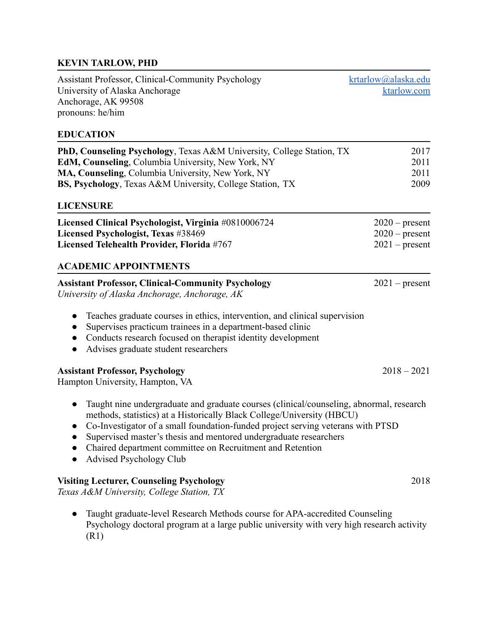#### **KEVIN TARLOW, PHD**

Assistant Professor, Clinical-Community Psychology [krtarlow@alaska.edu](mailto:krtarlow@alaska.edu) University of Alaska Anchorage [ktarlow.com](http://ktarlow.com/) Anchorage, AK 99508 pronouns: he/him

#### **EDUCATION**

| <b>PhD, Counseling Psychology</b> , Texas A&M University, College Station, TX           | 2017             |
|-----------------------------------------------------------------------------------------|------------------|
| <b>EdM, Counseling, Columbia University, New York, NY</b>                               | 2011             |
| MA, Counseling, Columbia University, New York, NY                                       | 2011             |
| BS, Psychology, Texas A&M University, College Station, TX                               | 2009             |
| <b>LICENSURE</b>                                                                        |                  |
| Licensed Clinical Psychologist, Virginia #0810006724                                    | $2020$ – present |
| Licensed Psychologist, Texas #38469                                                     | $2020$ – present |
| Licensed Telehealth Provider, Florida #767                                              | $2021$ – present |
| <b>ACADEMIC APPOINTMENTS</b>                                                            |                  |
| <b>Assistant Professor, Clinical-Community Psychology</b>                               | $2021$ – present |
| University of Alaska Anchorage, Anchorage, AK                                           |                  |
| Teaches graduate courses in ethics, intervention, and clinical supervision<br>$\bullet$ |                  |
| Supervises practicum trainees in a department-based clinic                              |                  |
| Conducts research focused on therapist identity development                             |                  |
| Advises graduate student researchers                                                    |                  |
|                                                                                         |                  |

#### **Assistant Professor, Psychology** 2018 – 2021

Hampton University, Hampton, VA

- Taught nine undergraduate and graduate courses (clinical/counseling, abnormal, research methods, statistics) at a Historically Black College/University (HBCU)
- Co-Investigator of a small foundation-funded project serving veterans with PTSD
- Supervised master's thesis and mentored undergraduate researchers
- Chaired department committee on Recruitment and Retention
- Advised Psychology Club

#### **Visiting Lecturer, Counseling Psychology** 2018

*Texas A&M University, College Station, TX*

● Taught graduate-level Research Methods course for APA-accredited Counseling Psychology doctoral program at a large public university with very high research activity (R1)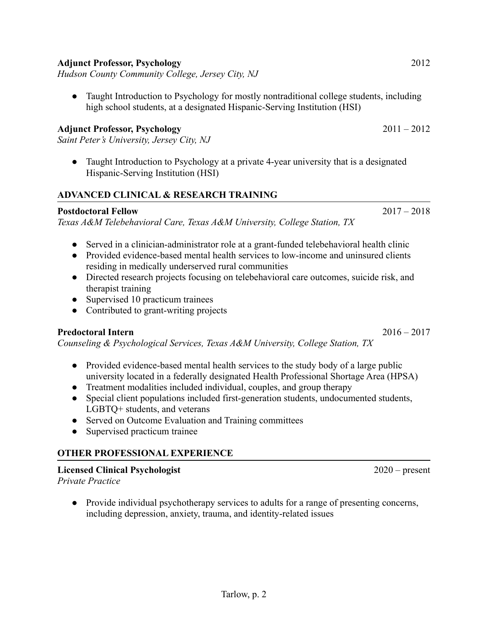# **Adjunct Professor, Psychology** 2011 – 2012

*Hudson County Community College, Jersey City, NJ*

*Saint Peter's University, Jersey City, NJ*

• Taught Introduction to Psychology at a private 4-year university that is a designated Hispanic-Serving Institution (HSI)

• Taught Introduction to Psychology for mostly nontraditional college students, including

high school students, at a designated Hispanic-Serving Institution (HSI)

# **ADVANCED CLINICAL & RESEARCH TRAINING**

# **Postdoctoral Fellow** 2017 – 2018

*Texas A&M Telebehavioral Care, Texas A&M University, College Station, TX*

- Served in a clinician-administrator role at a grant-funded telebehavioral health clinic
- Provided evidence-based mental health services to low-income and uninsured clients residing in medically underserved rural communities
- Directed research projects focusing on telebehavioral care outcomes, suicide risk, and therapist training
- Supervised 10 practicum trainees
- Contributed to grant-writing projects

# **Predoctoral Intern** 2016 – 2017

*Counseling & Psychological Services, Texas A&M University, College Station, TX*

- Provided evidence-based mental health services to the study body of a large public university located in a federally designated Health Professional Shortage Area (HPSA)
- Treatment modalities included individual, couples, and group therapy
- Special client populations included first-generation students, undocumented students, LGBTQ+ students, and veterans
- Served on Outcome Evaluation and Training committees
- Supervised practicum trainee

# **OTHER PROFESSIONAL EXPERIENCE**

# **Licensed Clinical Psychologist** 2020 – present

*Private Practice*

● Provide individual psychotherapy services to adults for a range of presenting concerns, including depression, anxiety, trauma, and identity-related issues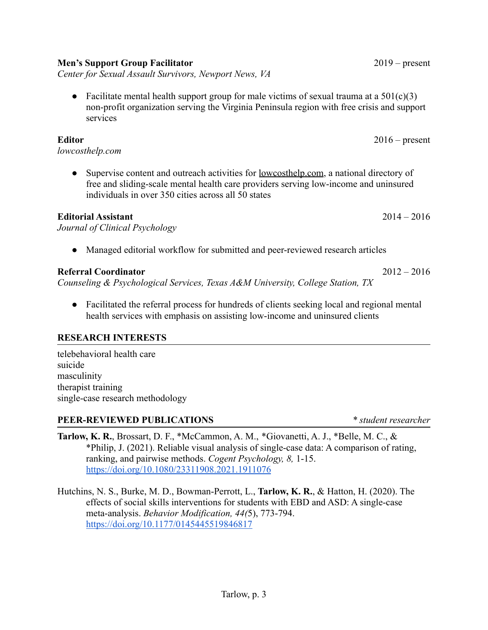## **Men's Support Group Facilitator** 2019 – present

*Center for Sexual Assault Survivors, Newport News, VA*

• Facilitate mental health support group for male victims of sexual trauma at a  $501(c)(3)$ non-profit organization serving the Virginia Peninsula region with free crisis and support services

#### **Editor** 2016 – present

*lowcosthelp.com*

● Supervise content and outreach activities for lowcosthelp.com, a national directory of free and sliding-scale mental health care providers serving low-income and uninsured individuals in over 350 cities across all 50 states

## **Editorial Assistant** 2014 – 2016

*Journal of Clinical Psychology*

● Managed editorial workflow for submitted and peer-reviewed research articles

## **Referral Coordinator** 2012 – 2016

*Counseling & Psychological Services, Texas A&M University, College Station, TX*

• Facilitated the referral process for hundreds of clients seeking local and regional mental health services with emphasis on assisting low-income and uninsured clients

# **RESEARCH INTERESTS**

telebehavioral health care suicide masculinity therapist training single-case research methodology

# **PEER-REVIEWED PUBLICATIONS** *\* student researcher*

- **Tarlow, K. R.**, Brossart, D. F., \*McCammon, A. M., \*Giovanetti, A. J., \*Belle, M. C., & \*Philip, J. (2021). Reliable visual analysis of single-case data: A comparison of rating, ranking, and pairwise methods. *Cogent Psychology, 8,* 1-15. <https://doi.org/10.1080/23311908.2021.1911076>
- Hutchins, N. S., Burke, M. D., Bowman-Perrott, L., **Tarlow, K. R.**, & Hatton, H. (2020). The effects of social skills interventions for students with EBD and ASD: A single-case meta-analysis. *Behavior Modification, 44(*5), 773-794. <https://doi.org/10.1177/0145445519846817>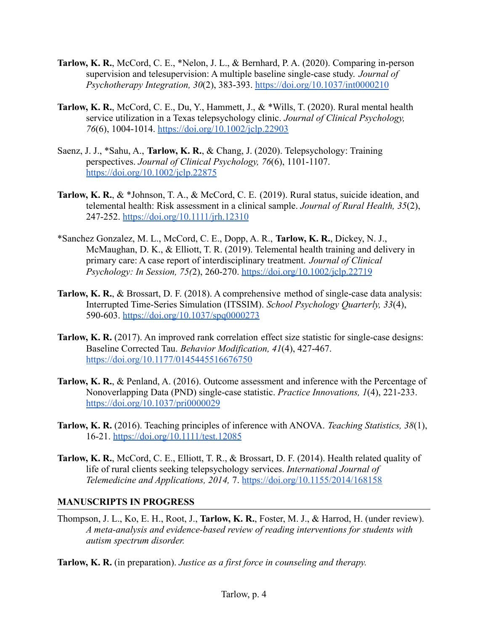- **Tarlow, K. R.**, McCord, C. E., \*Nelon, J. L., & Bernhard, P. A. (2020). Comparing in-person supervision and telesupervision: A multiple baseline single-case study. *Journal of Psychotherapy Integration, 30*(2), 383-393. <https://doi.org/10.1037/int0000210>
- **Tarlow, K. R.**, McCord, C. E., Du, Y., Hammett, J., & \*Wills, T. (2020). Rural mental health service utilization in a Texas telepsychology clinic. *Journal of Clinical Psychology, 76*(6), 1004-1014. <https://doi.org/10.1002/jclp.22903>
- Saenz, J. J., \*Sahu, A., **Tarlow, K. R.**, & Chang, J. (2020). Telepsychology: Training perspectives. *Journal of Clinical Psychology, 76*(6), 1101-1107. <https://doi.org/10.1002/jclp.22875>
- **Tarlow, K. R.**, & \*Johnson, T. A., & McCord, C. E. (2019). Rural status, suicide ideation, and telemental health: Risk assessment in a clinical sample. *Journal of Rural Health, 35*(2), 247-252. <https://doi.org/10.1111/jrh.12310>
- \*Sanchez Gonzalez, M. L., McCord, C. E., Dopp, A. R., **Tarlow, K. R.**, Dickey, N. J., McMaughan, D. K., & Elliott, T. R. (2019). Telemental health training and delivery in primary care: A case report of interdisciplinary treatment. *Journal of Clinical Psychology: In Session, 75(*2), 260-270. <https://doi.org/10.1002/jclp.22719>
- **Tarlow, K. R.**, & Brossart, D. F. (2018). A comprehensive method of single-case data analysis: Interrupted Time-Series Simulation (ITSSIM). *School Psychology Quarterly, 33*(4), 590-603. <https://doi.org/10.1037/spq0000273>
- **Tarlow, K. R.** (2017). An improved rank correlation effect size statistic for single-case designs: Baseline Corrected Tau. *Behavior Modification, 41*(4), 427-467. <https://doi.org/10.1177/0145445516676750>
- **Tarlow, K. R.**, & Penland, A. (2016). Outcome assessment and inference with the Percentage of Nonoverlapping Data (PND) single-case statistic. *Practice Innovations, 1*(4), 221-233. <https://doi.org/10.1037/pri0000029>
- **Tarlow, K. R.** (2016). Teaching principles of inference with ANOVA. *Teaching Statistics, 38*(1), 16-21. <https://doi.org/10.1111/test.12085>
- **Tarlow, K. R.**, McCord, C. E., Elliott, T. R., & Brossart, D. F. (2014). Health related quality of life of rural clients seeking telepsychology services. *International Journal of Telemedicine and Applications, 2014,* 7. <https://doi.org/10.1155/2014/168158>

#### **MANUSCRIPTS IN PROGRESS**

Thompson, J. L., Ko, E. H., Root, J., **Tarlow, K. R.**, Foster, M. J., & Harrod, H. (under review). *A meta-analysis and evidence-based review of reading interventions for students with autism spectrum disorder.*

**Tarlow, K. R.** (in preparation). *Justice as a first force in counseling and therapy.*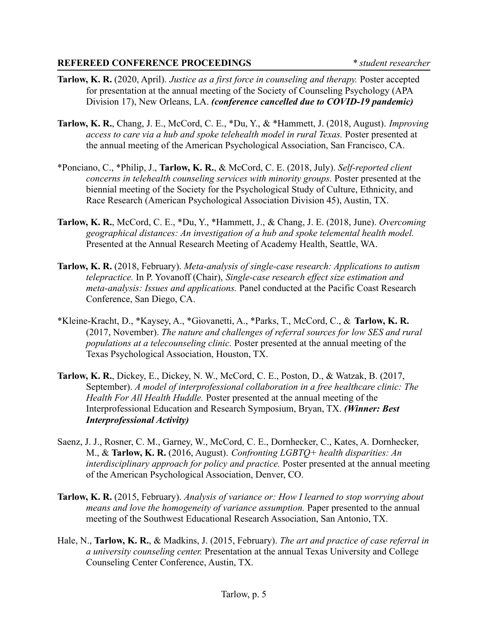#### **REFEREED CONFERENCE PROCEEDINGS** *\* student researcher*

- **Tarlow, K. R.** (2020, April). *Justice as a first force in counseling and therapy.* Poster accepted for presentation at the annual meeting of the Society of Counseling Psychology (APA Division 17), New Orleans, LA. *(conference cancelled due to COVID-19 pandemic)*
- **Tarlow, K. R.**, Chang, J. E., McCord, C. E., \*Du, Y., & \*Hammett, J. (2018, August). *Improving access to care via a hub and spoke telehealth model in rural Texas.* Poster presented at the annual meeting of the American Psychological Association, San Francisco, CA.
- \*Ponciano, C., \*Philip, J., **Tarlow, K. R.**, & McCord, C. E. (2018, July). *Self-reported client concerns in telehealth counseling services with minority groups.* Poster presented at the biennial meeting of the Society for the Psychological Study of Culture, Ethnicity, and Race Research (American Psychological Association Division 45), Austin, TX.
- **Tarlow, K. R.**, McCord, C. E., \*Du, Y., \*Hammett, J., & Chang, J. E. (2018, June). *Overcoming geographical distances: An investigation of a hub and spoke telemental health model.* Presented at the Annual Research Meeting of Academy Health, Seattle, WA.
- **Tarlow, K. R.** (2018, February). *Meta-analysis of single-case research: Applications to autism telepractice.* In P. Yovanoff (Chair), *Single-case research effect size estimation and meta-analysis: Issues and applications.* Panel conducted at the Pacific Coast Research Conference, San Diego, CA.
- \*Kleine-Kracht, D., \*Kaysey, A., \*Giovanetti, A., \*Parks, T., McCord, C., & **Tarlow, K. R.** (2017, November). *The nature and challenges of referral sources for low SES and rural populations at a telecounseling clinic.* Poster presented at the annual meeting of the Texas Psychological Association, Houston, TX.
- **Tarlow, K. R.**, Dickey, E., Dickey, N. W., McCord, C. E., Poston, D., & Watzak, B. (2017, September). *A model of interprofessional collaboration in a free healthcare clinic: The Health For All Health Huddle.* Poster presented at the annual meeting of the Interprofessional Education and Research Symposium, Bryan, TX. *(Winner: Best Interprofessional Activity)*
- Saenz, J. J., Rosner, C. M., Garney, W., McCord, C. E., Dornhecker, C., Kates, A. Dornhecker, M., & **Tarlow, K. R.** (2016, August). *Confronting LGBTQ+ health disparities: An interdisciplinary approach for policy and practice.* Poster presented at the annual meeting of the American Psychological Association, Denver, CO.
- **Tarlow, K. R.** (2015, February). *Analysis of variance or: How I learned to stop worrying about means and love the homogeneity of variance assumption.* Paper presented to the annual meeting of the Southwest Educational Research Association, San Antonio, TX.
- Hale, N., **Tarlow, K. R.**, & Madkins, J. (2015, February). *The art and practice of case referral in a university counseling center.* Presentation at the annual Texas University and College Counseling Center Conference, Austin, TX.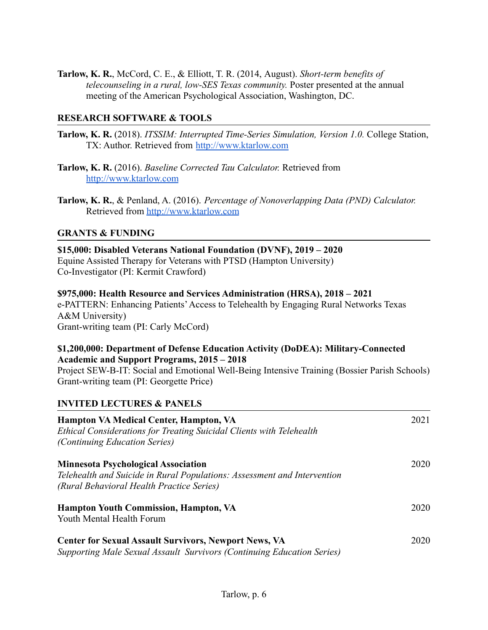**Tarlow, K. R.**, McCord, C. E., & Elliott, T. R. (2014, August). *Short-term benefits of telecounseling in a rural, low-SES Texas community.* Poster presented at the annual meeting of the American Psychological Association, Washington, DC.

### **RESEARCH SOFTWARE & TOOLS**

- **Tarlow, K. R.** (2018). *ITSSIM: Interrupted Time-Series Simulation, Version 1.0.* College Station, TX: Author. Retrieved from <http://www.ktarlow.com>
- **Tarlow, K. R.** (2016). *Baseline Corrected Tau Calculator.* Retrieved from <http://www.ktarlow.com>
- **Tarlow, K. R.**, & Penland, A. (2016). *Percentage of Nonoverlapping Data (PND) Calculator.* Retrieved from <http://www.ktarlow.com>

#### **GRANTS & FUNDING**

**INVITED LECTURES & PANELS**

**\$15,000: Disabled Veterans National Foundation (DVNF), 2019 – 2020** Equine Assisted Therapy for Veterans with PTSD (Hampton University) Co-Investigator (PI: Kermit Crawford)

**\$975,000: Health Resource and Services Administration (HRSA), 2018 – 2021** e-PATTERN: Enhancing Patients'Access to Telehealth by Engaging Rural Networks Texas A&M University) Grant-writing team (PI: Carly McCord)

#### **\$1,200,000: Department of Defense Education Activity (DoDEA): Military-Connected Academic and Support Programs, 2015 – 2018**

Project SEW-B-IT: Social and Emotional Well-Being Intensive Training (Bossier Parish Schools) Grant-writing team (PI: Georgette Price)

| <b>Hampton VA Medical Center, Hampton, VA</b><br>Ethical Considerations for Treating Suicidal Clients with Telehealth<br><i>(Continuing Education Series)</i>       | 2021 |
|---------------------------------------------------------------------------------------------------------------------------------------------------------------------|------|
| <b>Minnesota Psychological Association</b><br>Telehealth and Suicide in Rural Populations: Assessment and Intervention<br>(Rural Behavioral Health Practice Series) | 2020 |
| <b>Hampton Youth Commission, Hampton, VA</b><br>Youth Mental Health Forum                                                                                           | 2020 |
| <b>Center for Sexual Assault Survivors, Newport News, VA</b><br>Supporting Male Sexual Assault Survivors (Continuing Education Series)                              | 2020 |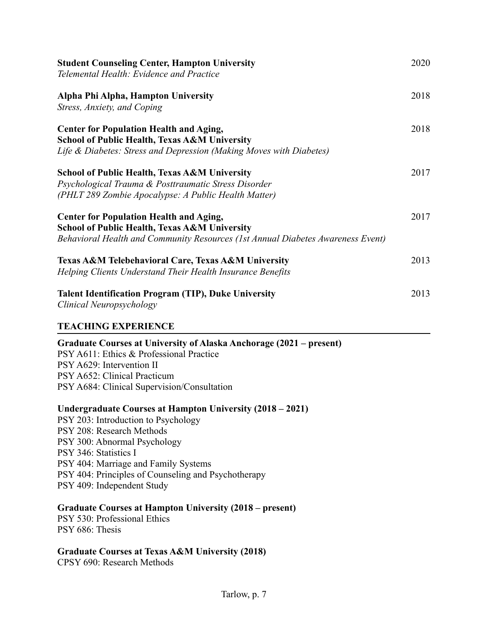| <b>Student Counseling Center, Hampton University</b><br>Telemental Health: Evidence and Practice                                                                                                                                                                                                                    | 2020 |
|---------------------------------------------------------------------------------------------------------------------------------------------------------------------------------------------------------------------------------------------------------------------------------------------------------------------|------|
| Alpha Phi Alpha, Hampton University<br>Stress, Anxiety, and Coping                                                                                                                                                                                                                                                  | 2018 |
| <b>Center for Population Health and Aging,</b><br><b>School of Public Health, Texas A&amp;M University</b><br>Life & Diabetes: Stress and Depression (Making Moves with Diabetes)                                                                                                                                   | 2018 |
| <b>School of Public Health, Texas A&amp;M University</b><br>Psychological Trauma & Posttraumatic Stress Disorder<br>(PHLT 289 Zombie Apocalypse: A Public Health Matter)                                                                                                                                            | 2017 |
| <b>Center for Population Health and Aging,</b><br><b>School of Public Health, Texas A&amp;M University</b><br>Behavioral Health and Community Resources (1st Annual Diabetes Awareness Event)                                                                                                                       | 2017 |
| Texas A&M Telebehavioral Care, Texas A&M University<br>Helping Clients Understand Their Health Insurance Benefits                                                                                                                                                                                                   | 2013 |
| <b>Talent Identification Program (TIP), Duke University</b><br>Clinical Neuropsychology                                                                                                                                                                                                                             | 2013 |
| <b>TEACHING EXPERIENCE</b>                                                                                                                                                                                                                                                                                          |      |
| Graduate Courses at University of Alaska Anchorage (2021 – present)<br>PSY A611: Ethics & Professional Practice<br>PSY A629: Intervention II<br>PSY A652: Clinical Practicum<br>PSY A684: Clinical Supervision/Consultation                                                                                         |      |
| Undergraduate Courses at Hampton University (2018 – 2021)<br>PSY 203: Introduction to Psychology<br>PSY 208: Research Methods<br>PSY 300: Abnormal Psychology<br>PSY 346: Statistics I<br>PSY 404: Marriage and Family Systems<br>PSY 404: Principles of Counseling and Psychotherapy<br>PSY 409: Independent Study |      |
| <b>Graduate Courses at Hampton University (2018 – present)</b><br>PSY 530: Professional Ethics<br>PSY 686: Thesis                                                                                                                                                                                                   |      |
| <b>Graduate Courses at Texas A&amp;M University (2018)</b>                                                                                                                                                                                                                                                          |      |

CPSY 690: Research Methods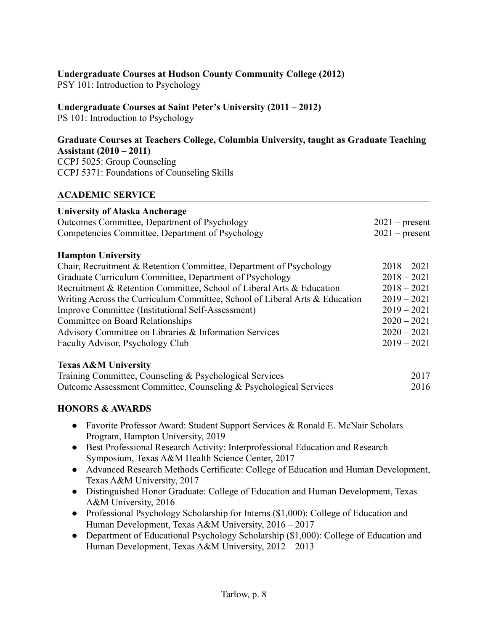### **Undergraduate Courses at Hudson County Community College (2012)**

PSY 101: Introduction to Psychology

#### **Undergraduate Courses at Saint Peter's University (2011 – 2012)**

PS 101: Introduction to Psychology

| Graduate Courses at Teachers College, Columbia University, taught as Graduate Teaching |  |  |  |
|----------------------------------------------------------------------------------------|--|--|--|
| Assistant $(2010 - 2011)$                                                              |  |  |  |

CCPJ 5025: Group Counseling CCPJ 5371: Foundations of Counseling Skills

#### **ACADEMIC SERVICE**

| Outcomes Committee, Department of Psychology     | $2021$ – present |
|--------------------------------------------------|------------------|
| Competencies Committee, Department of Psychology | $2021$ – present |

#### **Hampton University**

| Chair, Recruitment & Retention Committee, Department of Psychology          | $2018 - 2021$ |
|-----------------------------------------------------------------------------|---------------|
| Graduate Curriculum Committee, Department of Psychology                     | $2018 - 2021$ |
| Recruitment & Retention Committee, School of Liberal Arts & Education       | $2018 - 2021$ |
| Writing Across the Curriculum Committee, School of Liberal Arts & Education | $2019 - 2021$ |
| Improve Committee (Institutional Self-Assessment)                           | $2019 - 2021$ |
| <b>Committee on Board Relationships</b>                                     | $2020 - 2021$ |
| Advisory Committee on Libraries & Information Services                      | $2020 - 2021$ |
| Faculty Advisor, Psychology Club                                            | $2019 - 2021$ |
|                                                                             |               |

#### **Texas A&M University**

| Training Committee, Counseling & Psychological Services           | 2017 |
|-------------------------------------------------------------------|------|
| Outcome Assessment Committee, Counseling & Psychological Services | 2016 |

#### **HONORS & AWARDS**

- Favorite Professor Award: Student Support Services & Ronald E. McNair Scholars Program, Hampton University, 2019
- Best Professional Research Activity: Interprofessional Education and Research Symposium, Texas A&M Health Science Center, 2017
- Advanced Research Methods Certificate: College of Education and Human Development, Texas A&M University, 2017
- Distinguished Honor Graduate: College of Education and Human Development, Texas A&M University, 2016
- Professional Psychology Scholarship for Interns (\$1,000): College of Education and Human Development, Texas A&M University, 2016 – 2017
- Department of Educational Psychology Scholarship (\$1,000): College of Education and Human Development, Texas A&M University, 2012 – 2013